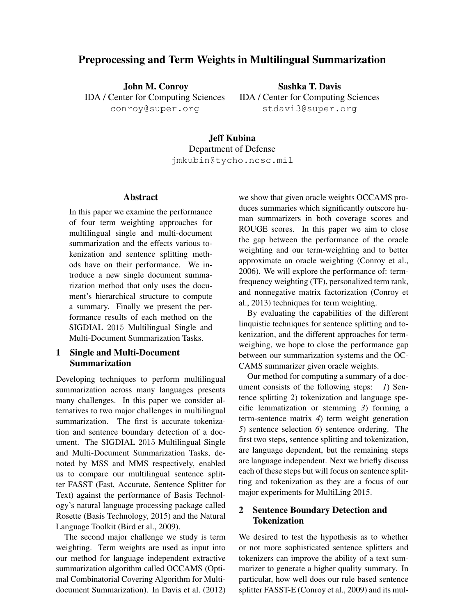# Preprocessing and Term Weights in Multilingual Summarization

John M. Conroy IDA / Center for Computing Sciences conroy@super.org

Sashka T. Davis IDA / Center for Computing Sciences stdavi3@super.org

Jeff Kubina Department of Defense jmkubin@tycho.ncsc.mil

### Abstract

In this paper we examine the performance of four term weighting approaches for multilingual single and multi-document summarization and the effects various tokenization and sentence splitting methods have on their performance. We introduce a new single document summarization method that only uses the document's hierarchical structure to compute a summary. Finally we present the performance results of each method on the SIGDIAL 2015 Multilingual Single and Multi-Document Summarization Tasks.

# 1 Single and Multi-Document Summarization

Developing techniques to perform multilingual summarization across many languages presents many challenges. In this paper we consider alternatives to two major challenges in multilingual summarization. The first is accurate tokenization and sentence boundary detection of a document. The SIGDIAL 2015 Multilingual Single and Multi-Document Summarization Tasks, denoted by MSS and MMS respectively, enabled us to compare our multilingual sentence splitter FASST (Fast, Accurate, Sentence Splitter for Text) against the performance of Basis Technology's natural language processing package called Rosette (Basis Technology, 2015) and the Natural Language Toolkit (Bird et al., 2009).

The second major challenge we study is term weighting. Term weights are used as input into our method for language independent extractive summarization algorithm called OCCAMS (Optimal Combinatorial Covering Algorithm for Multidocument Summarization). In Davis et al. (2012) we show that given oracle weights OCCAMS produces summaries which significantly outscore human summarizers in both coverage scores and ROUGE scores. In this paper we aim to close the gap between the performance of the oracle weighting and our term-weighting and to better approximate an oracle weighting (Conroy et al., 2006). We will explore the performance of: termfrequency weighting (TF), personalized term rank, and nonnegative matrix factorization (Conroy et al., 2013) techniques for term weighting.

By evaluating the capabilities of the different linquistic techniques for sentence splitting and tokenization, and the different approaches for termweighing, we hope to close the performance gap between our summarization systems and the OC-CAMS summarizer given oracle weights.

Our method for computing a summary of a document consists of the following steps: *1*) Sentence splitting *2*) tokenization and language specific lemmatization or stemming *3*) forming a term-sentence matrix *4*) term weight generation *5*) sentence selection *6*) sentence ordering. The first two steps, sentence splitting and tokenization, are language dependent, but the remaining steps are language independent. Next we briefly discuss each of these steps but will focus on sentence splitting and tokenization as they are a focus of our major experiments for MultiLing 2015.

# 2 Sentence Boundary Detection and Tokenization

We desired to test the hypothesis as to whether or not more sophisticated sentence splitters and tokenizers can improve the ability of a text summarizer to generate a higher quality summary. In particular, how well does our rule based sentence splitter FASST-E (Conroy et al., 2009) and its mul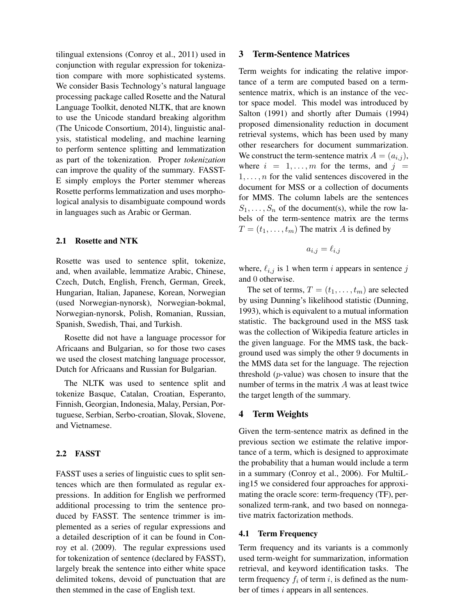tilingual extensions (Conroy et al., 2011) used in conjunction with regular expression for tokenization compare with more sophisticated systems. We consider Basis Technology's natural language processing package called Rosette and the Natural Language Toolkit, denoted NLTK, that are known to use the Unicode standard breaking algorithm (The Unicode Consortium, 2014), linguistic analysis, statistical modeling, and machine learning to perform sentence splitting and lemmatization as part of the tokenization. Proper *tokenization* can improve the quality of the summary. FASST-E simply employs the Porter stemmer whereas Rosette performs lemmatization and uses morphological analysis to disambiguate compound words in languages such as Arabic or German.

#### 2.1 Rosette and NTK

Rosette was used to sentence split, tokenize, and, when available, lemmatize Arabic, Chinese, Czech, Dutch, English, French, German, Greek, Hungarian, Italian, Japanese, Korean, Norwegian (used Norwegian-nynorsk), Norwegian-bokmal, Norwegian-nynorsk, Polish, Romanian, Russian, Spanish, Swedish, Thai, and Turkish.

Rosette did not have a language processor for Africaans and Bulgarian, so for those two cases we used the closest matching language processor, Dutch for Africaans and Russian for Bulgarian.

The NLTK was used to sentence split and tokenize Basque, Catalan, Croatian, Esperanto, Finnish, Georgian, Indonesia, Malay, Persian, Portuguese, Serbian, Serbo-croatian, Slovak, Slovene, and Vietnamese.

## 2.2 FASST

FASST uses a series of linguistic cues to split sentences which are then formulated as regular expressions. In addition for English we perfrormed additional processing to trim the sentence produced by FASST. The sentence trimmer is implemented as a series of regular expressions and a detailed description of it can be found in Conroy et al. (2009). The regular expressions used for tokenization of sentence (declared by FASST), largely break the sentence into either white space delimited tokens, devoid of punctuation that are then stemmed in the case of English text.

#### 3 Term-Sentence Matrices

Term weights for indicating the relative importance of a term are computed based on a termsentence matrix, which is an instance of the vector space model. This model was introduced by Salton (1991) and shortly after Dumais (1994) proposed dimensionality reduction in document retrieval systems, which has been used by many other researchers for document summarization. We construct the term-sentence matrix  $A = (a_{i,j})$ , where  $i = 1, \ldots, m$  for the terms, and  $j =$  $1, \ldots, n$  for the valid sentences discovered in the document for MSS or a collection of documents for MMS. The column labels are the sentences  $S_1, \ldots, S_n$  of the document(s), while the row labels of the term-sentence matrix are the terms  $T = (t_1, \ldots, t_m)$  The matrix A is defined by

$$
a_{i,j} = \ell_{i,j}
$$

where,  $\ell_{i,j}$  is 1 when term i appears in sentence j and 0 otherwise.

The set of terms,  $T = (t_1, \ldots, t_m)$  are selected by using Dunning's likelihood statistic (Dunning, 1993), which is equivalent to a mutual information statistic. The background used in the MSS task was the collection of Wikipedia feature articles in the given language. For the MMS task, the background used was simply the other 9 documents in the MMS data set for the language. The rejection threshold  $(p$ -value) was chosen to insure that the number of terms in the matrix A was at least twice the target length of the summary.

#### 4 Term Weights

Given the term-sentence matrix as defined in the previous section we estimate the relative importance of a term, which is designed to approximate the probability that a human would include a term in a summary (Conroy et al., 2006). For MultiLing15 we considered four approaches for approximating the oracle score: term-frequency (TF), personalized term-rank, and two based on nonnegative matrix factorization methods.

#### 4.1 Term Frequency

Term frequency and its variants is a commonly used term-weight for summarization, information retrieval, and keyword identification tasks. The term frequency  $f_i$  of term i, is defined as the number of times i appears in all sentences.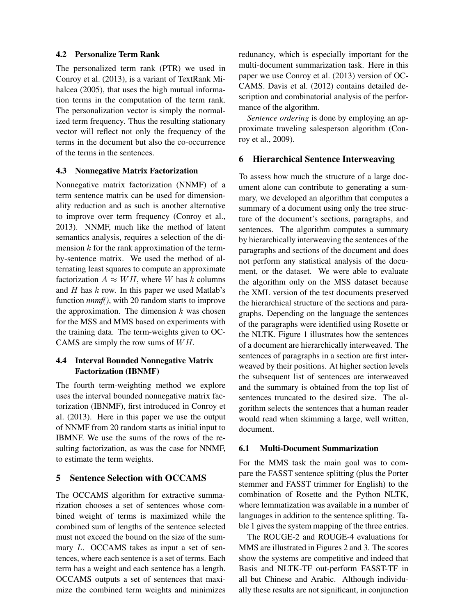## 4.2 Personalize Term Rank

The personalized term rank (PTR) we used in Conroy et al. (2013), is a variant of TextRank Mihalcea (2005), that uses the high mutual information terms in the computation of the term rank. The personalization vector is simply the normalized term frequency. Thus the resulting stationary vector will reflect not only the frequency of the terms in the document but also the co-occurrence of the terms in the sentences.

## 4.3 Nonnegative Matrix Factorization

Nonnegative matrix factorization (NNMF) of a term sentence matrix can be used for dimensionality reduction and as such is another alternative to improve over term frequency (Conroy et al., 2013). NNMF, much like the method of latent semantics analysis, requires a selection of the dimension  $k$  for the rank approximation of the termby-sentence matrix. We used the method of alternating least squares to compute an approximate factorization  $A \approx WH$ , where W has k columns and  $H$  has  $k$  row. In this paper we used Matlab's function *nnmf()*, with 20 random starts to improve the approximation. The dimension  $k$  was chosen for the MSS and MMS based on experiments with the training data. The term-weights given to OC-CAMS are simply the row sums of  $WH$ .

# 4.4 Interval Bounded Nonnegative Matrix Factorization (IBNMF)

The fourth term-weighting method we explore uses the interval bounded nonnegative matrix factorization (IBNMF), first introduced in Conroy et al. (2013). Here in this paper we use the output of NNMF from 20 random starts as initial input to IBMNF. We use the sums of the rows of the resulting factorization, as was the case for NNMF, to estimate the term weights.

# 5 Sentence Selection with OCCAMS

The OCCAMS algorithm for extractive summarization chooses a set of sentences whose combined weight of terms is maximized while the combined sum of lengths of the sentence selected must not exceed the bound on the size of the summary L. OCCAMS takes as input a set of sentences, where each sentence is a set of terms. Each term has a weight and each sentence has a length. OCCAMS outputs a set of sentences that maximize the combined term weights and minimizes redunancy, which is especially important for the multi-document summarization task. Here in this paper we use Conroy et al. (2013) version of OC-CAMS. Davis et al. (2012) contains detailed description and combinatorial analysis of the performance of the algorithm.

*Sentence ordering* is done by employing an approximate traveling salesperson algorithm (Conroy et al., 2009).

#### 6 Hierarchical Sentence Interweaving

To assess how much the structure of a large document alone can contribute to generating a summary, we developed an algorithm that computes a summary of a document using only the tree structure of the document's sections, paragraphs, and sentences. The algorithm computes a summary by hierarchically interweaving the sentences of the paragraphs and sections of the document and does not perform any statistical analysis of the document, or the dataset. We were able to evaluate the algorithm only on the MSS dataset because the XML version of the test documents preserved the hierarchical structure of the sections and paragraphs. Depending on the language the sentences of the paragraphs were identified using Rosette or the NLTK. Figure 1 illustrates how the sentences of a document are hierarchically interweaved. The sentences of paragraphs in a section are first interweaved by their positions. At higher section levels the subsequent list of sentences are interweaved and the summary is obtained from the top list of sentences truncated to the desired size. The algorithm selects the sentences that a human reader would read when skimming a large, well written, document.

#### 6.1 Multi-Document Summarization

For the MMS task the main goal was to compare the FASST sentence splitting (plus the Porter stemmer and FASST trimmer for English) to the combination of Rosette and the Python NLTK, where lemmatization was available in a number of languages in addition to the sentence splitting. Table 1 gives the system mapping of the three entries.

The ROUGE-2 and ROUGE-4 evaluations for MMS are illustrated in Figures 2 and 3. The scores show the systems are competitive and indeed that Basis and NLTK-TF out-perform FASST-TF in all but Chinese and Arabic. Although individually these results are not significant, in conjunction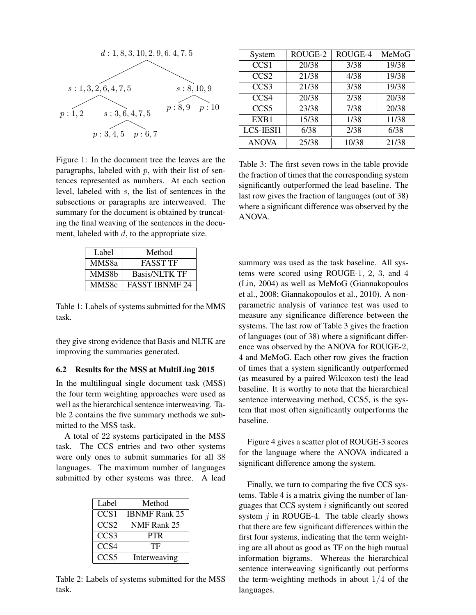

Figure 1: In the document tree the leaves are the paragraphs, labeled with  $p$ , with their list of sentences represented as numbers. At each section level, labeled with s, the list of sentences in the subsections or paragraphs are interweaved. The summary for the document is obtained by truncating the final weaving of the sentences in the document, labeled with  $d$ , to the appropriate size.

| Label | Method                |  |  |
|-------|-----------------------|--|--|
| MMS8a | <b>FASST TF</b>       |  |  |
| MMS8b | <b>Basis/NLTK TF</b>  |  |  |
| MMS8c | <b>FASST IBNMF 24</b> |  |  |

Table 1: Labels of systems submitted for the MMS task.

they give strong evidence that Basis and NLTK are improving the summaries generated.

## 6.2 Results for the MSS at MultiLing 2015

In the multilingual single document task (MSS) the four term weighting approaches were used as well as the hierarchical sentence interweaving. Table 2 contains the five summary methods we submitted to the MSS task.

A total of 22 systems participated in the MSS task. The CCS entries and two other systems were only ones to submit summaries for all 38 languages. The maximum number of languages submitted by other systems was three. A lead

| Label            | Method               |
|------------------|----------------------|
| CCS <sub>1</sub> | <b>IBNMF Rank 25</b> |
| CCS <sub>2</sub> | NMF Rank 25          |
| CCS <sub>3</sub> | <b>PTR</b>           |
| CCS4             | TF                   |
| CCS <sub>5</sub> | Interweaving         |

Table 2: Labels of systems submitted for the MSS task.

| System           | ROUGE-2 | ROUGE-4 | MeMoG |
|------------------|---------|---------|-------|
| CCS <sub>1</sub> | 20/38   | 3/38    | 19/38 |
| CCS <sub>2</sub> | 21/38   | 4/38    | 19/38 |
| CCS <sub>3</sub> | 21/38   | 3/38    | 19/38 |
| CCS4             | 20/38   | 2/38    | 20/38 |
| CCS <sub>5</sub> | 23/38   | 7/38    | 20/38 |
| EXB1             | 15/38   | 1/38    | 11/38 |
| LCS-IESI1        | 6/38    | 2/38    | 6/38  |
| <b>ANOVA</b>     | 25/38   | 10/38   | 21/38 |

Table 3: The first seven rows in the table provide the fraction of times that the corresponding system significantly outperformed the lead baseline. The last row gives the fraction of languages (out of 38) where a significant difference was observed by the ANOVA.

summary was used as the task baseline. All systems were scored using ROUGE-1, 2, 3, and 4 (Lin, 2004) as well as MeMoG (Giannakopoulos et al., 2008; Giannakopoulos et al., 2010). A nonparametric analysis of variance test was used to measure any significance difference between the systems. The last row of Table 3 gives the fraction of languages (out of 38) where a significant difference was observed by the ANOVA for ROUGE-2, 4 and MeMoG. Each other row gives the fraction of times that a system significantly outperformed (as measured by a paired Wilcoxon test) the lead baseline. It is worthy to note that the hierarchical sentence interweaving method, CCS5, is the system that most often significantly outperforms the baseline.

Figure 4 gives a scatter plot of ROUGE-3 scores for the language where the ANOVA indicated a significant difference among the system.

Finally, we turn to comparing the five CCS systems. Table 4 is a matrix giving the number of languages that CCS system  $i$  significantly out scored system  $j$  in ROUGE-4. The table clearly shows that there are few significant differences within the first four systems, indicating that the term weighting are all about as good as TF on the high mutual information bigrams. Whereas the hierarchical sentence interweaving significantly out performs the term-weighting methods in about  $1/4$  of the languages.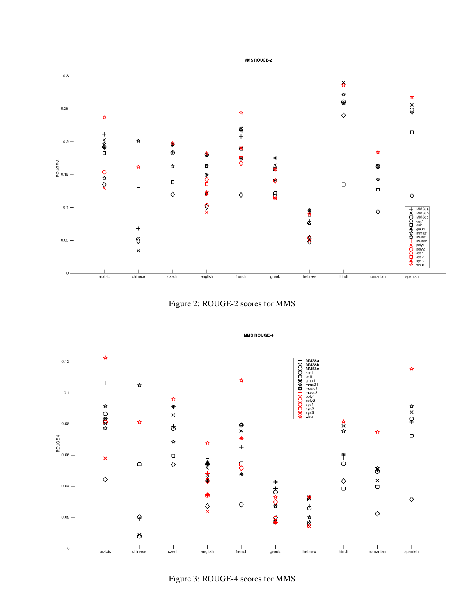





Figure 3: ROUGE-4 scores for MMS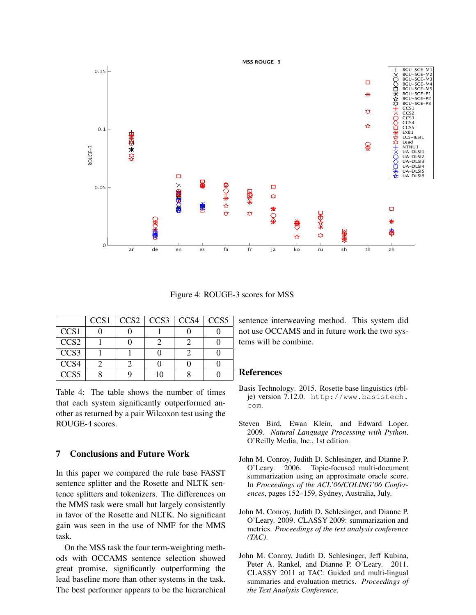

Figure 4: ROUGE-3 scores for MSS

|                  | CCS <sub>1</sub> | CCS <sub>2</sub> | CCS <sub>3</sub> | CC <sub>S4</sub> | CCS <sub>5</sub> |
|------------------|------------------|------------------|------------------|------------------|------------------|
| CCS <sub>1</sub> |                  |                  |                  |                  |                  |
| CCS <sub>2</sub> |                  |                  |                  |                  |                  |
| CCS <sub>3</sub> |                  |                  |                  |                  |                  |
| CCS <sub>4</sub> |                  |                  |                  |                  |                  |
| CCS <sub>5</sub> |                  |                  | ı∩               |                  |                  |

Table 4: The table shows the number of times that each system significantly outperformed another as returned by a pair Wilcoxon test using the ROUGE-4 scores.

## 7 Conclusions and Future Work

In this paper we compared the rule base FASST sentence splitter and the Rosette and NLTK sentence splitters and tokenizers. The differences on the MMS task were small but largely consistently in favor of the Rosette and NLTK. No significant gain was seen in the use of NMF for the MMS task.

On the MSS task the four term-weighting methods with OCCAMS sentence selection showed great promise, significantly outperforming the lead baseline more than other systems in the task. The best performer appears to be the hierarchical

sentence interweaving method. This system did not use OCCAMS and in future work the two systems will be combine.

#### References

- Basis Technology. 2015. Rosette base linguistics (rblje) version 7.12.0. http://www.basistech. com.
- Steven Bird, Ewan Klein, and Edward Loper. 2009. *Natural Language Processing with Python*. O'Reilly Media, Inc., 1st edition.
- John M. Conroy, Judith D. Schlesinger, and Dianne P. O'Leary. 2006. Topic-focused multi-document summarization using an approximate oracle score. In *Proceedings of the ACL'06/COLING'06 Conferences*, pages 152–159, Sydney, Australia, July.
- John M. Conroy, Judith D. Schlesinger, and Dianne P. O'Leary. 2009. CLASSY 2009: summarization and metrics. *Proceedings of the text analysis conference (TAC)*.
- John M. Conroy, Judith D. Schlesinger, Jeff Kubina, Peter A. Rankel, and Dianne P. O'Leary. 2011. CLASSY 2011 at TAC: Guided and multi-lingual summaries and evaluation metrics. *Proceedings of the Text Analysis Conference*.